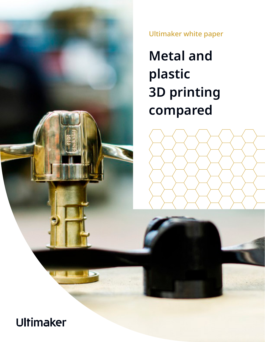

Ultimaker white paper

**Metal and plastic 3D printing compared**

# Ultimaker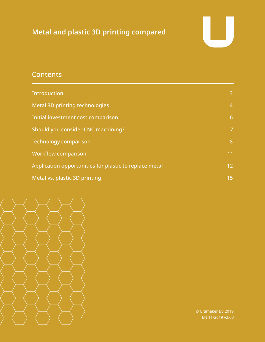## **Metal and plastic 3D printing compared**



## **Contents**

| <b>Introduction</b>                                    | $\mathbf{3}$ |
|--------------------------------------------------------|--------------|
| <b>Metal 3D printing technologies</b>                  | 4            |
| Initial investment cost comparison                     | 6            |
| Should you consider CNC machining?                     | 7            |
| <b>Technology comparison</b>                           | 8            |
| <b>Workflow comparison</b>                             | 11           |
| Application opportunities for plastic to replace metal | 12           |
| Metal vs. plastic 3D printing                          | 15           |



© Ultimaker BV 2019 EN 11/2019 v2.00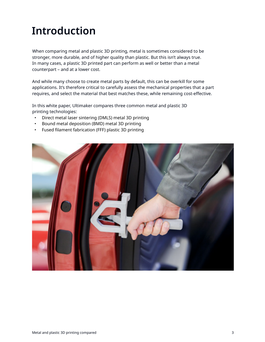# <span id="page-2-0"></span>**Introduction**

When comparing metal and plastic 3D printing, metal is sometimes considered to be stronger, more durable, and of higher quality than plastic. But this isn't always true. In many cases, a plastic 3D printed part can perform as well or better than a metal counterpart – and at a lower cost.

And while many choose to create metal parts by default, this can be overkill for some applications. It's therefore critical to carefully assess the mechanical properties that a part requires, and select the material that best matches these, while remaining cost-effective.

In this white paper, Ultimaker compares three common metal and plastic 3D printing technologies:

- Direct metal laser sintering (DMLS) metal 3D printing
- Bound metal deposition (BMD) metal 3D printing
- Fused filament fabrication (FFF) plastic 3D printing

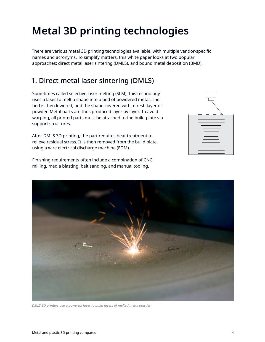# <span id="page-3-0"></span>**Metal 3D printing technologies**

There are various metal 3D printing technologies available, with multiple vendor-specific names and acronyms. To simplify matters, this white paper looks at two popular approaches: direct metal laser sintering (DMLS), and bound metal deposition (BMD).

## 1. Direct metal laser sintering (DMLS)

Sometimes called selective laser melting (SLM), this technology uses a laser to melt a shape into a bed of powdered metal. The bed is then lowered, and the shape covered with a fresh layer of powder. Metal parts are thus produced layer by layer. To avoid warping, all printed parts must be attached to the build plate via support structures.

After DMLS 3D printing, the part requires heat treatment to relieve residual stress. It is then removed from the build plate, using a wire electrical discharge machine (EDM).

Finishing requirements often include a combination of CNC milling, media blasting, belt sanding, and manual tooling.





*DMLS 3D printers use a powerful laser to build layers of melted metal powder*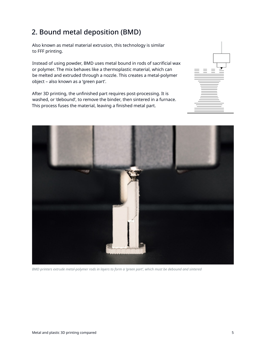## 2. Bound metal deposition (BMD)

Also known as metal material extrusion, this technology is similar to FFF printing.

Instead of using powder, BMD uses metal bound in rods of sacrificial wax or polymer. The mix behaves like a thermoplastic material, which can be melted and extruded through a nozzle. This creates a metal-polymer object – also known as a 'green part'.

After 3D printing, the unfinished part requires post-processing. It is washed, or 'debound', to remove the binder, then sintered in a furnace. This process fuses the material, leaving a finished metal part.





*BMD printers extrude metal-polymer rods in layers to form a 'green part', which must be debound and sintered*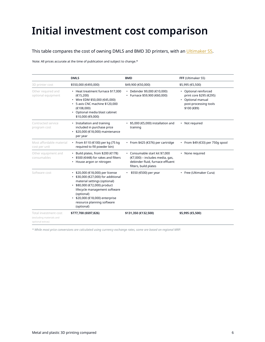# <span id="page-5-0"></span>**Initial investment cost comparison**

### This table compares the cost of owning DMLS and BMD 3D printers, with an [Ultimaker S5.](https://ultimaker.com/3d-printers/ultimaker-s5?utm_source=white-paper&utm_medium=pdf&utm_content=metal-vs-plastic)

Note: All prices accurate at the time of publication and subject to change.\*

|                                                                       | <b>DMLS</b>                                                                                                                                                                                                                                                       | <b>BMD</b>                                                                                                                     | FFF (Ultimaker S5)                                                                                            |
|-----------------------------------------------------------------------|-------------------------------------------------------------------------------------------------------------------------------------------------------------------------------------------------------------------------------------------------------------------|--------------------------------------------------------------------------------------------------------------------------------|---------------------------------------------------------------------------------------------------------------|
| 3D printer cost                                                       | \$550,000 (€493,000)                                                                                                                                                                                                                                              | \$49,900 (€50,000)                                                                                                             | \$5,995 (€5,500)                                                                                              |
| Other required and<br>optional equipment                              | • Heat treatment furnace \$17,000<br>(E15, 200)<br>• Wire EDM \$50,000 (€45,000)<br>• 5-axis CNC machine \$120,000<br>(E108,000)<br>• Optional media blast cabinet<br>\$10,000 (€9,000)                                                                           | • Debinder \$9,000 (€10,000)<br>• Furnace \$59,900 (€60,000)                                                                   | • Optional reinforced<br>print core \$295 (€295)<br>• Optional manual<br>post-processing tools<br>\$100 (€89) |
| Contracted service<br>program cost                                    | • Installation and training<br>included in purchase price<br>• \$20,000 (€18,000) maintenance<br>per year                                                                                                                                                         | $\cdot$ \$5,000 (€5,000) installation and<br>training                                                                          | • Not required                                                                                                |
| Most affordable material<br>cost per unit                             | • From \$110 (€100) per kg (75 kg<br>required to fill powder bin)                                                                                                                                                                                                 | • From \$425 ( $\epsilon$ 376) per cartridge                                                                                   | • From \$49 ( $€33$ ) per 750g spool                                                                          |
| Other equipment and<br>consumables                                    | • Build plates, from \$200 ( $€178$ )<br>• \$500 (€448) for rakes and filters<br>• House argon or nitrogen                                                                                                                                                        | • Consumable start kit \$7,000<br>(€7,000) - includes media, gas,<br>debinder fluid, furnace effluent<br>filters, build plates | None required                                                                                                 |
| Software cost                                                         | • \$20,000 (€18,000) per license<br>\$30,000 (€27,000) for additional<br>material settings (optional)<br>• \$80,000 (€72,000) product<br>lifecycle management software<br>(optional)<br>\$20,000 (€18,000) enterprise<br>resource planning software<br>(optional) | \$550 (€500) per year                                                                                                          | • Free (Ultimaker Cura)                                                                                       |
| Total investment cost<br>(excluding materials and<br>optional extras) | \$777,700 (€697,826)                                                                                                                                                                                                                                              | \$131,350 (€132,500)                                                                                                           | \$5,995 (€5,500)                                                                                              |

*\* While most price conversions are calculated using currency exchange rates, some are based on regional MRP.*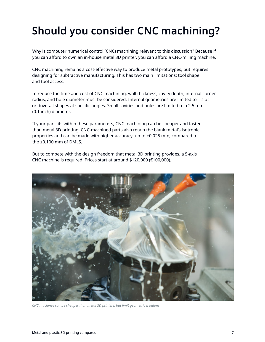# <span id="page-6-0"></span>**Should you consider CNC machining?**

Why is computer numerical control (CNC) machining relevant to this discussion? Because if you can afford to own an in-house metal 3D printer, you can afford a CNC-milling machine.

CNC machining remains a cost-effective way to produce metal prototypes, but requires designing for subtractive manufacturing. This has two main limitations: tool shape and tool access.

To reduce the time and cost of CNC machining, wall thickness, cavity depth, internal corner radius, and hole diameter must be considered. Internal geometries are limited to T-slot or dovetail shapes at specific angles. Small cavities and holes are limited to a 2.5 mm (0.1 inch) diameter.

If your part fits within these parameters, CNC machining can be cheaper and faster than metal 3D printing. CNC-machined parts also retain the blank metal's isotropic properties and can be made with higher accuracy: up to ±0.025 mm, compared to the ±0.100 mm of DMLS.

But to compete with the design freedom that metal 3D printing provides, a 5-axis CNC machine is required. Prices start at around \$120,000 (€100,000).



*CNC machines can be cheaper than metal 3D printers, but limit geometric freedom*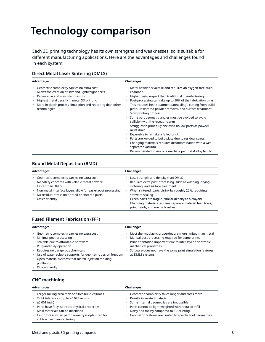# <span id="page-7-0"></span>**Technology comparison**

Each 3D printing technology has its own strengths and weaknesses, so is suitable for different manufacturing applications. Here are the advantages and challenges found in each system:

#### **Direct Metal Laser Sintering (DMLS)**

| Advantages                                                                                                                                                                                                                                                                 | Challenges                                                                                                                                                                                                                                                                                                                                                                                                                                                                                                                                                                                                                                                                                                                                                           |
|----------------------------------------------------------------------------------------------------------------------------------------------------------------------------------------------------------------------------------------------------------------------------|----------------------------------------------------------------------------------------------------------------------------------------------------------------------------------------------------------------------------------------------------------------------------------------------------------------------------------------------------------------------------------------------------------------------------------------------------------------------------------------------------------------------------------------------------------------------------------------------------------------------------------------------------------------------------------------------------------------------------------------------------------------------|
| • Geometric complexity carries no extra cost<br>• Allows the creation of stiff and lightweight parts<br>• Repeatable and consistent results<br>• Highest metal density in metal 3D printing<br>• More in-depth process simulation and reporting than other<br>technologies | Metal powder is volatile and requires an oxygen-free build<br>chamber<br>• Higher cost-per-part than traditional manufacturing<br>Post-processing can take up to 50% of the fabrication time.<br>This includes heat treatment (annealing), cutting from build<br>plate, unsintered powder removal, and surface treatment<br>• Slow printing process<br>Some part geometry angles must be avoided to avoid<br>collision with the recoating arm<br>Struggles to print fully enclosed hollow parts as powder<br>must drain<br>• Expensive to remake a failed print<br>• Parts are welded to build plate due to residual stress<br>Changing materials requires decontamination with a wet<br>separator vacuum<br>• Recommended to use one machine per metal alloy family |

### **Bound Metal Deposition (BMD)**

| Advantages                                                                                                                                                                                                                                                       | Challenges                                                                                                                                                                                                                                                                                                                                                                        |
|------------------------------------------------------------------------------------------------------------------------------------------------------------------------------------------------------------------------------------------------------------------|-----------------------------------------------------------------------------------------------------------------------------------------------------------------------------------------------------------------------------------------------------------------------------------------------------------------------------------------------------------------------------------|
| • Geometric complexity carries no extra cost<br>• No safety concerns with volatile metal powder<br>• Faster than DMLS<br>• Non-metal interface layers allow for easier post-processing<br>• No residual stress on printed or sintered parts<br>• Office-friendly | • Less strength and density than DMLS<br>• Requires extra post-processing, such as washing, drying,<br>sintering, and surface treatment<br>When sintered, parts shrink by roughly 20%, requiring<br>software scaling<br>• Green parts are fragile (similar density to a crayon)<br>• Changing materials requires separate material feed trays,<br>print heads, and nozzle brushes |

### **Fused Filament Fabrication (FFF)**

| Advantages                                                                                                                                                                                                                                                                                                                                      | Challenges                                                                                                                                                                                                                                                                            |
|-------------------------------------------------------------------------------------------------------------------------------------------------------------------------------------------------------------------------------------------------------------------------------------------------------------------------------------------------|---------------------------------------------------------------------------------------------------------------------------------------------------------------------------------------------------------------------------------------------------------------------------------------|
| • Geometric complexity carries no extra cost<br>• Minimal post-processing<br>• Scalable due to affordable hardware<br>• Plug-and-play operation<br>• Requires no dangerous chemicals<br>• Use of water-soluble supports for geometric design freedom<br>• Open material systems that match injection molding<br>portfolios<br>• Office-friendly | Most thermoplastic properties are more limited than metal<br>Manual post-processing required for some prints<br>• Print orientation important due to inter-layer anisotropic<br>mechanical properties<br>Software does not have the same print simulation features<br>as DMLS systems |

### **CNC machining**

| Advantages                                                                                                                                                                                                                                                                                     | Challenges                                                                                                                                                                                                                                                                                           |
|------------------------------------------------------------------------------------------------------------------------------------------------------------------------------------------------------------------------------------------------------------------------------------------------|------------------------------------------------------------------------------------------------------------------------------------------------------------------------------------------------------------------------------------------------------------------------------------------------------|
| • Larger milling area than additive build volumes<br>• Tight tolerances (up to ±0.025 mm or<br>$\cdot$ ±0.001 inch)<br>• Parts have fully isotropic physical properties<br>• Most materials can be machined<br>• Fast process when part geometry is optimized for<br>subtractive manufacturing | • Geometric complexity takes longer and costs more<br>• Results in wasted material<br>· Some internal geometries are impossible<br>• Parts cannot be light-weighted with reduced infill<br>• Noisy and messy compared to 3D printing<br>• Geometric features are limited to specific tool geometries |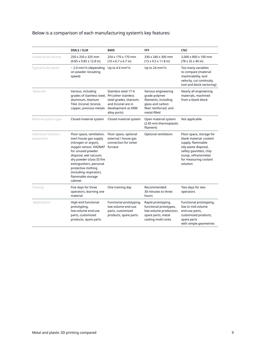| Below is a comparison of each manufacturing system's key features: |  |
|--------------------------------------------------------------------|--|
|--------------------------------------------------------------------|--|

|                                      | DMLS / SLM                                                                                                                                                                                                                                                                                           | <b>BMD</b>                                                                                                  | FFF                                                                                                                       | <b>CNC</b>                                                                                                                                                                              |
|--------------------------------------|------------------------------------------------------------------------------------------------------------------------------------------------------------------------------------------------------------------------------------------------------------------------------------------------------|-------------------------------------------------------------------------------------------------------------|---------------------------------------------------------------------------------------------------------------------------|-----------------------------------------------------------------------------------------------------------------------------------------------------------------------------------------|
| Usable build volume                  | 250 x 250 x 325 mm<br>$(9.85 \times 9.85 \times 12.8 \text{ in})$                                                                                                                                                                                                                                    | 254 x 170 x 170 mm<br>$(10 \times 6.7 \times 6.7)$ in)                                                      | 330 x 240 x 300 mm<br>$(13 \times 9.5 \times 11.8)$ in)                                                                   | 2,000 x 800 x 100 mm<br>(78 x 32 x 40 in)                                                                                                                                               |
| Typical build speed                  | $\sim$ 2.0 mm <sup>3</sup> /s (depending<br>on powder recoating<br>speed)                                                                                                                                                                                                                            | Up to 4.4 $mm3/s$                                                                                           | Up to 24 mm <sup>3</sup> /s                                                                                               | Too many variables<br>to compare (material<br>machinability, tool<br>velocity, cut continuity,<br>tool and block vectoring)                                                             |
| Materials                            | Various, including<br>grades of stainless steel, PH (other stainless<br>aluminum, titanium<br>Ti64, Inconel, bronze,<br>copper, precious metals                                                                                                                                                      | Stainless steel 17-4<br>steel grades, titanium,<br>and Inconel are in<br>development as MIM<br>alloy ports) | Various engineering<br>grade polymer<br>filaments, including<br>glass and carbon<br>fiber reinforced, and<br>metal-filled | Nearly all engineering<br>materials, machined<br>from a blank block                                                                                                                     |
| Material system type                 | Closed material system                                                                                                                                                                                                                                                                               | Closed material system                                                                                      | Open material system<br>(2.85 mm thermoplastic<br>filament)                                                               | Not applicable                                                                                                                                                                          |
| Additional facilities /<br>equipment | Floor space, ventilation,<br>inert house gas supply<br>(nitrogen or argon),<br>oxygen sensor, HAZMAT furnace<br>for unused powder<br>disposal, wet vacuum,<br>dry powder (class D) fire<br>extinguishers, personal<br>protective clothing<br>(including respirator),<br>flammable storage<br>cabinet | Floor space, optional<br>external / house gas<br>connection for sinter                                      | Optional ventilation                                                                                                      | Floor space, storage for<br>blank material, coolant<br>supply, flammable<br>oily waste disposal,<br>safety gauntlets, chip<br>scoop, refractometer<br>for measuring coolant<br>solution |
| Training                             | Five days for three<br>operators, learning one<br>material                                                                                                                                                                                                                                           | One training day                                                                                            | Recommended:<br>30 minutes to three<br>hours                                                                              | Two days for two<br>operators                                                                                                                                                           |
| Applications                         | High-end functional<br>prototyping,<br>low-volume end-use<br>parts, customized<br>products, spare parts                                                                                                                                                                                              | Functional prototyping,<br>low-volume end-use<br>parts, customized<br>products, spare parts                 | Rapid prototyping,<br>functional prototypes,<br>low-volume production,<br>spare parts, metal<br>casting mold cores        | Functional prototyping,<br>low to mid-volume<br>end-use parts,<br>customized products,<br>spare parts<br>with simple geometries                                                         |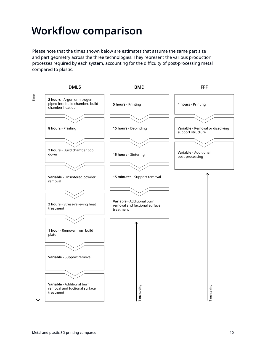## <span id="page-9-0"></span>**Workflow comparison**

Please note that the times shown below are estimates that assume the same part size and part geometry across the three technologies. They represent the various production processes required by each system, accounting for the difficulty of post-processing metal compared to plastic.

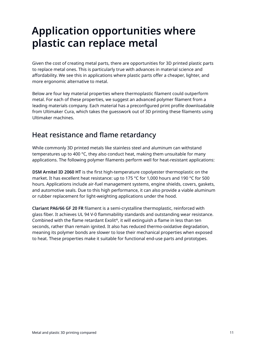## <span id="page-10-0"></span>**Application opportunities where plastic can replace metal**

Given the cost of creating metal parts, there are opportunities for 3D printed plastic parts to replace metal ones. This is particularly true with advances in material science and affordability. We see this in applications where plastic parts offer a cheaper, lighter, and more ergonomic alternative to metal.

Below are four key material properties where thermoplastic filament could outperform metal. For each of these properties, we suggest an advanced polymer filament from a leading materials company. Each material has a preconfigured print profile downloadable from Ultimaker Cura, which takes the guesswork out of 3D printing these filaments using Ultimaker machines.

### Heat resistance and flame retardancy

While commonly 3D printed metals like stainless steel and aluminum can withstand temperatures up to 400 °C, they also conduct heat, making them unsuitable for many applications. The following polymer filaments perform well for heat-resistant applications:

**DSM Arnitel ID 2060 HT** is the first high-temperature copolyester thermoplastic on the market. It has excellent heat resistance: up to 175 °C for 1,000 hours and 190 °C for 500 hours. Applications include air-fuel management systems, engine shields, covers, gaskets, and automotive seals. Due to this high performance, it can also provide a viable aluminum or rubber replacement for light-weighting applications under the hood.

**Clariant PA6/66 GF 20 FR** filament is a semi-crystalline thermoplastic, reinforced with glass fiber. It achieves UL 94 V-0 flammability standards and outstanding wear resistance. Combined with the flame retardant Exolit<sup>®</sup>, it will extinguish a flame in less than ten seconds, rather than remain ignited. It also has reduced thermo-oxidative degradation, meaning its polymer bonds are slower to lose their mechanical properties when exposed to heat. These properties make it suitable for functional end-use parts and prototypes.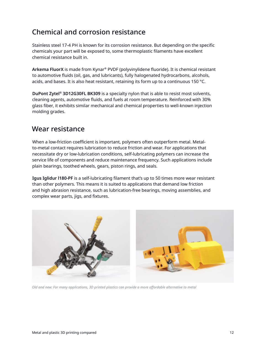### Chemical and corrosion resistance

Stainless steel 17-4 PH is known for its corrosion resistance. But depending on the specific chemicals your part will be exposed to, some thermoplastic filaments have excellent chemical resistance built in.

**Arkema FluorX** is made from Kynar® PVDF (polyvinylidene fluoride). It is chemical resistant to automotive fluids (oil, gas, and lubricants), fully halogenated hydrocarbons, alcohols, acids, and bases. It is also heat resistant, retaining its form up to a continuous 150 °C.

**DuPont Zytel® 3D12G30FL BK309** is a specialty nylon that is able to resist most solvents, cleaning agents, automotive fluids, and fuels at room temperature. Reinforced with 30% glass fiber, it exhibits similar mechanical and chemical properties to well-known injection molding grades.

### Wear resistance

When a low-friction coefficient is important, polymers often outperform metal. Metalto-metal contact requires lubrication to reduce friction and wear. For applications that necessitate dry or low-lubrication conditions, self-lubricating polymers can increase the service life of components and reduce maintenance frequency. Such applications include plain bearings, toothed wheels, gears, piston rings, and seals.

**Igus Iglidur l180-PF** is a self-lubricating filament that's up to 50 times more wear resistant than other polymers. This means it is suited to applications that demand low friction and high abrasion resistance, such as lubrication-free bearings, moving assemblies, and complex wear parts, jigs, and fixtures.



*Old and new: For many applications, 3D printed plastics can provide a more affordable alternative to metal*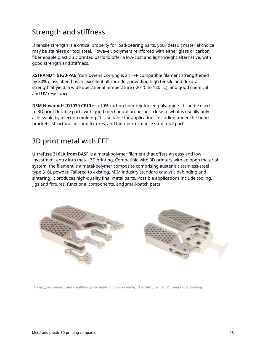## Strength and stiffness

If tensile strength is a critical property for load-bearing parts, your default material choice may be stainless or tool steel. However, polymers reinforced with either glass or carbon fiber enable plastic 3D printed parts to offer a low-cost and light-weight alternative, with good strength and stiffness.

**XSTRAND™ GF30-PA6** from Owens Corning is an FFF-compatible filament strengthened by 30% glass fiber. It is an excellent all-rounder, providing high tensile and flexural strength at yield, a wide operational temperature (-20  $\degree$ C to 120  $\degree$ C), and good chemical and UV resistance.

**DSM Novamid® ID1030 CF10** is a 10% carbon fiber reinforced polyamide. It can be used to 3D print durable parts with good mechanical properties, close to what is usually only achievable by injection molding. It is suitable for applications including under-the-hood brackets, structural jigs and fixtures, and high-performance structural parts.

### 3D print metal with FFF

**Ultrafuse 316LX from BASF** is a metal-polymer filament that offers an easy and low investment entry into metal 3D printing. Compatible with 3D printers with an open material system, the filament is a metal-polymer composite comprising austenitic stainless-steel type 316L powder. Tailored to existing, MIM industry standard catalytic debinding and sintering, it produces high-quality final metal parts. Possible applications include tooling, jigs and fixtures, functional components, and small-batch parts.



*This gripper demonstrates a light-weighted application unlocked by BASF Ultrafuse 316LX, using FFF technology*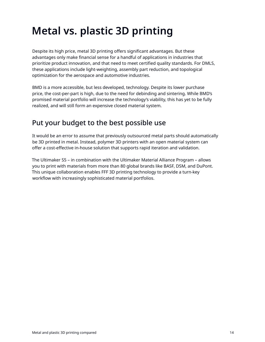# <span id="page-13-0"></span>**Metal vs. plastic 3D printing**

Despite its high price, metal 3D printing offers significant advantages. But these advantages only make financial sense for a handful of applications in industries that prioritize product innovation, and that need to meet certified quality standards. For DMLS, these applications include light-weighting, assembly part reduction, and topological optimization for the aerospace and automotive industries.

BMD is a more accessible, but less developed, technology. Despite its lower purchase price, the cost-per-part is high, due to the need for debinding and sintering. While BMD's promised material portfolio will increase the technology's viability, this has yet to be fully realized, and will still form an expensive closed material system.

## Put your budget to the best possible use

It would be an error to assume that previously outsourced metal parts should automatically be 3D printed in metal. Instead, polymer 3D printers with an open material system can offer a cost-effective in-house solution that supports rapid iteration and validation.

The Ultimaker S5 – in combination with the Ultimaker Material Alliance Program – allows you to print with materials from more than 80 global brands like BASF, DSM, and DuPont. This unique collaboration enables FFF 3D printing technology to provide a turn-key workflow with increasingly sophisticated material portfolios.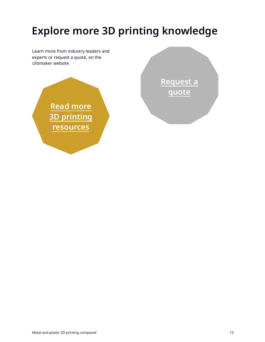# **Explore more 3D printing knowledge**

Learn more from industry leaders and experts or request a quote, on the Ultimaker website



**[Request a](https://3d.ultimaker.com/request-quote?utm_source=white-paper&utm_medium=pdf&utm_content=office-printing) [quote](https://3d.ultimaker.com/request-quote?utm_source=white-paper&utm_medium=pdf&utm_content=office-printing)**